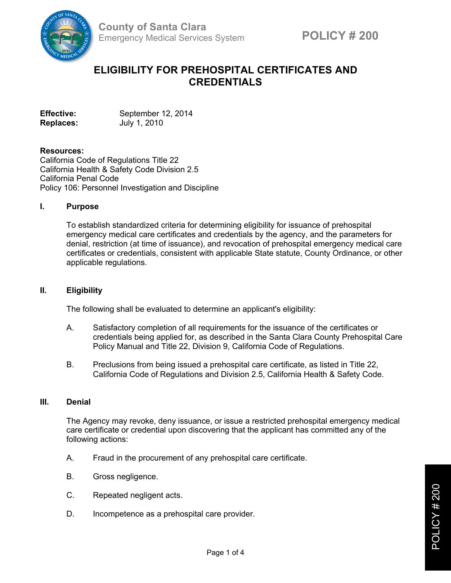

# **ELIGIBILITY FOR PREHOSPITAL CERTIFICATES AND CREDENTIALS**

**Effective:** September 12, 2014 **Replaces:** July 1, 2010

### **Resources:**

California Code of Regulations Title 22 California Health & Safety Code Division 2.5 California Penal Code Policy 106: Personnel Investigation and Discipline

#### **I. Purpose**

To establish standardized criteria for determining eligibility for issuance of prehospital emergency medical care certificates and credentials by the agency, and the parameters for denial, restriction (at time of issuance), and revocation of prehospital emergency medical care certificates or credentials, consistent with applicable State statute, County Ordinance, or other applicable regulations.

### **II. Eligibility**

The following shall be evaluated to determine an applicant's eligibility:

- A. Satisfactory completion of all requirements for the issuance of the certificates or credentials being applied for, as described in the Santa Clara County Prehospital Care Policy Manual and Title 22, Division 9, California Code of Regulations.
- B. Preclusions from being issued a prehospital care certificate, as listed in Title 22, California Code of Regulations and Division 2.5, California Health & Safety Code.

#### **III. Denial**

The Agency may revoke, deny issuance, or issue a restricted prehospital emergency medical care certificate or credential upon discovering that the applicant has committed any of the following actions:

- A. Fraud in the procurement of any prehospital care certificate.
- B. Gross negligence.
- C. Repeated negligent acts.
- D. Incompetence as a prehospital care provider.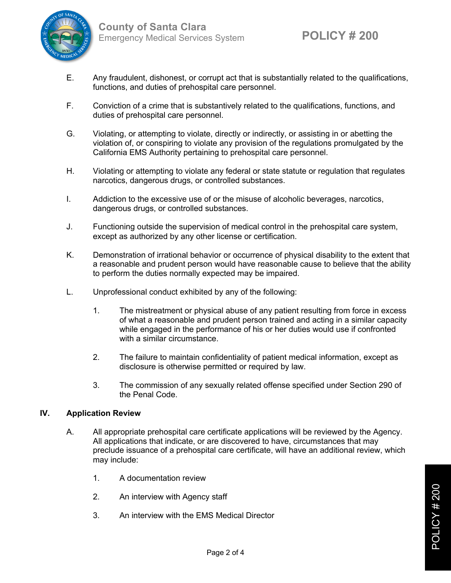

- E. Any fraudulent, dishonest, or corrupt act that is substantially related to the qualifications, functions, and duties of prehospital care personnel.
- F. Conviction of a crime that is substantively related to the qualifications, functions, and duties of prehospital care personnel.
- G. Violating, or attempting to violate, directly or indirectly, or assisting in or abetting the violation of, or conspiring to violate any provision of the regulations promulgated by the California EMS Authority pertaining to prehospital care personnel.
- H. Violating or attempting to violate any federal or state statute or regulation that regulates narcotics, dangerous drugs, or controlled substances.
- I. Addiction to the excessive use of or the misuse of alcoholic beverages, narcotics, dangerous drugs, or controlled substances.
- J. Functioning outside the supervision of medical control in the prehospital care system, except as authorized by any other license or certification.
- K. Demonstration of irrational behavior or occurrence of physical disability to the extent that a reasonable and prudent person would have reasonable cause to believe that the ability to perform the duties normally expected may be impaired.
- L. Unprofessional conduct exhibited by any of the following:
	- 1. The mistreatment or physical abuse of any patient resulting from force in excess of what a reasonable and prudent person trained and acting in a similar capacity while engaged in the performance of his or her duties would use if confronted with a similar circumstance.
	- 2. The failure to maintain confidentiality of patient medical information, except as disclosure is otherwise permitted or required by law.
	- 3. The commission of any sexually related offense specified under Section 290 of the Penal Code.

## **IV. Application Review**

- A. All appropriate prehospital care certificate applications will be reviewed by the Agency. All applications that indicate, or are discovered to have, circumstances that may preclude issuance of a prehospital care certificate, will have an additional review, which may include:
	- 1. A documentation review
	- 2. An interview with Agency staff
	- 3. An interview with the EMS Medical Director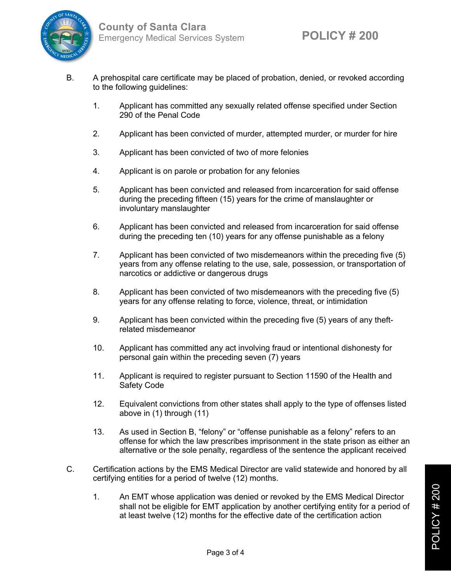

- B. A prehospital care certificate may be placed of probation, denied, or revoked according to the following quidelines:
	- 1. Applicant has committed any sexually related offense specified under Section 290 of the Penal Code
	- 2. Applicant has been convicted of murder, attempted murder, or murder for hire
	- 3. Applicant has been convicted of two of more felonies
	- 4. Applicant is on parole or probation for any felonies
	- 5. Applicant has been convicted and released from incarceration for said offense during the preceding fifteen (15) years for the crime of manslaughter or involuntary manslaughter
	- 6. Applicant has been convicted and released from incarceration for said offense during the preceding ten (10) years for any offense punishable as a felony
	- 7. Applicant has been convicted of two misdemeanors within the preceding five (5) years from any offense relating to the use, sale, possession, or transportation of narcotics or addictive or dangerous drugs
	- 8. Applicant has been convicted of two misdemeanors with the preceding five (5) years for any offense relating to force, violence, threat, or intimidation
	- 9. Applicant has been convicted within the preceding five (5) years of any theftrelated misdemeanor
	- 10. Applicant has committed any act involving fraud or intentional dishonesty for personal gain within the preceding seven (7) years
	- 11. Applicant is required to register pursuant to Section 11590 of the Health and Safety Code
	- 12. Equivalent convictions from other states shall apply to the type of offenses listed above in (1) through (11)
	- 13. As used in Section B, "felony" or "offense punishable as a felony" refers to an offense for which the law prescribes imprisonment in the state prison as either an alternative or the sole penalty, regardless of the sentence the applicant received
- C. Certification actions by the EMS Medical Director are valid statewide and honored by all certifying entities for a period of twelve (12) months.
	- 1. An EMT whose application was denied or revoked by the EMS Medical Director shall not be eligible for EMT application by another certifying entity for a period of at least twelve (12) months for the effective date of the certification action

POLICY # 200  $\circ$